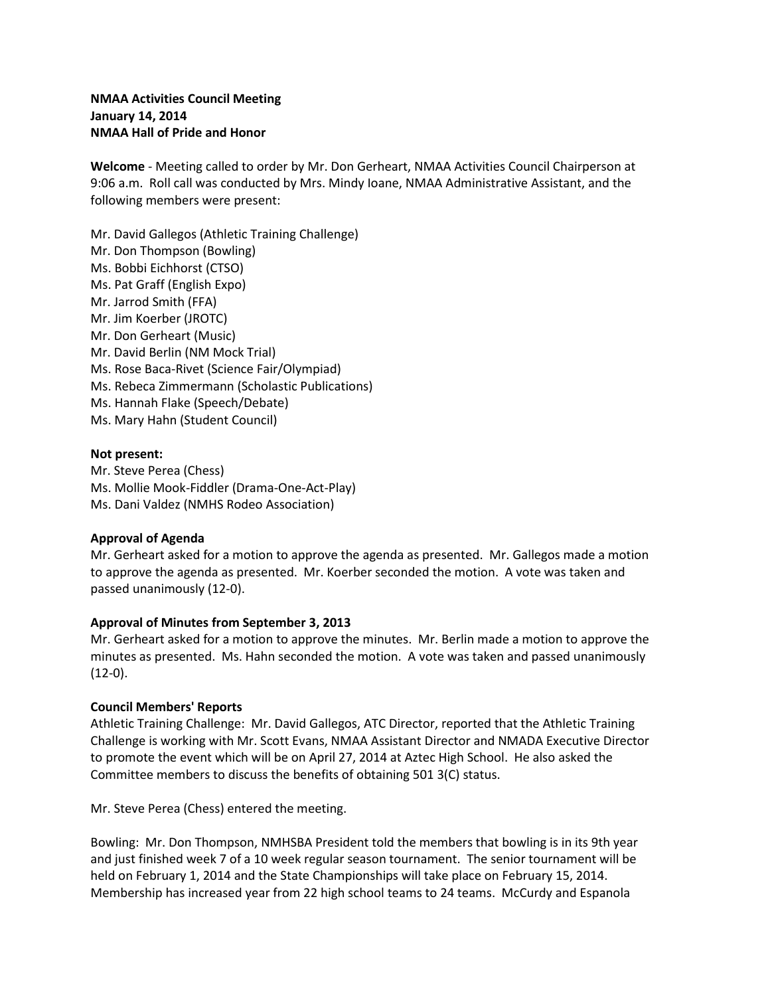# **NMAA Activities Council Meeting January 14, 2014 NMAA Hall of Pride and Honor**

**Welcome** - Meeting called to order by Mr. Don Gerheart, NMAA Activities Council Chairperson at 9:06 a.m. Roll call was conducted by Mrs. Mindy Ioane, NMAA Administrative Assistant, and the following members were present:

Mr. David Gallegos (Athletic Training Challenge) Mr. Don Thompson (Bowling) Ms. Bobbi Eichhorst (CTSO) Ms. Pat Graff (English Expo) Mr. Jarrod Smith (FFA) Mr. Jim Koerber (JROTC) Mr. Don Gerheart (Music) Mr. David Berlin (NM Mock Trial) Ms. Rose Baca-Rivet (Science Fair/Olympiad) Ms. Rebeca Zimmermann (Scholastic Publications) Ms. Hannah Flake (Speech/Debate) Ms. Mary Hahn (Student Council)

## **Not present:**

Mr. Steve Perea (Chess) Ms. Mollie Mook-Fiddler (Drama-One-Act-Play) Ms. Dani Valdez (NMHS Rodeo Association)

## **Approval of Agenda**

Mr. Gerheart asked for a motion to approve the agenda as presented. Mr. Gallegos made a motion to approve the agenda as presented. Mr. Koerber seconded the motion. A vote was taken and passed unanimously (12-0).

## **Approval of Minutes from September 3, 2013**

Mr. Gerheart asked for a motion to approve the minutes. Mr. Berlin made a motion to approve the minutes as presented. Ms. Hahn seconded the motion. A vote was taken and passed unanimously  $(12-0).$ 

## **Council Members' Reports**

Athletic Training Challenge: Mr. David Gallegos, ATC Director, reported that the Athletic Training Challenge is working with Mr. Scott Evans, NMAA Assistant Director and NMADA Executive Director to promote the event which will be on April 27, 2014 at Aztec High School. He also asked the Committee members to discuss the benefits of obtaining 501 3(C) status.

Mr. Steve Perea (Chess) entered the meeting.

Bowling: Mr. Don Thompson, NMHSBA President told the members that bowling is in its 9th year and just finished week 7 of a 10 week regular season tournament. The senior tournament will be held on February 1, 2014 and the State Championships will take place on February 15, 2014. Membership has increased year from 22 high school teams to 24 teams. McCurdy and Espanola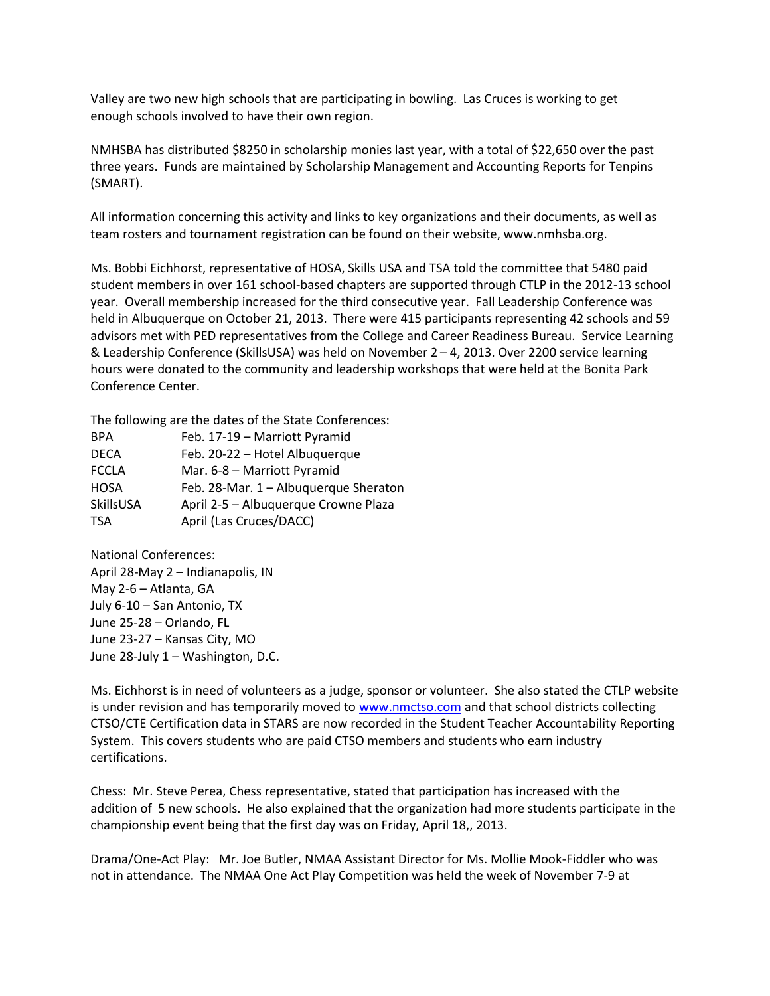Valley are two new high schools that are participating in bowling. Las Cruces is working to get enough schools involved to have their own region.

NMHSBA has distributed \$8250 in scholarship monies last year, with a total of \$22,650 over the past three years. Funds are maintained by Scholarship Management and Accounting Reports for Tenpins (SMART).

All information concerning this activity and links to key organizations and their documents, as well as team rosters and tournament registration can be found on their website, www.nmhsba.org.

Ms. Bobbi Eichhorst, representative of HOSA, Skills USA and TSA told the committee that 5480 paid student members in over 161 school-based chapters are supported through CTLP in the 2012-13 school year. Overall membership increased for the third consecutive year. Fall Leadership Conference was held in Albuquerque on October 21, 2013. There were 415 participants representing 42 schools and 59 advisors met with PED representatives from the College and Career Readiness Bureau. Service Learning & Leadership Conference (SkillsUSA) was held on November 2 – 4, 2013. Over 2200 service learning hours were donated to the community and leadership workshops that were held at the Bonita Park Conference Center.

The following are the dates of the State Conferences:

| <b>BPA</b>   | Feb. 17-19 - Marriott Pyramid         |
|--------------|---------------------------------------|
| <b>DECA</b>  | Feb. 20-22 - Hotel Albuquerque        |
| <b>FCCLA</b> | Mar. 6-8 - Marriott Pyramid           |
| <b>HOSA</b>  | Feb. 28-Mar. 1 - Albuquerque Sheraton |
| SkillsUSA    | April 2-5 - Albuquerque Crowne Plaza  |
| TSA          | April (Las Cruces/DACC)               |

National Conferences: April 28-May 2 – Indianapolis, IN May 2-6 – Atlanta, GA July 6-10 – San Antonio, TX June 25-28 – Orlando, FL June 23-27 – Kansas City, MO June 28-July 1 – Washington, D.C.

Ms. Eichhorst is in need of volunteers as a judge, sponsor or volunteer. She also stated the CTLP website is under revision and has temporarily moved to [www.nmctso.com](http://www.nmctso.com/) and that school districts collecting CTSO/CTE Certification data in STARS are now recorded in the Student Teacher Accountability Reporting System. This covers students who are paid CTSO members and students who earn industry certifications.

Chess: Mr. Steve Perea, Chess representative, stated that participation has increased with the addition of 5 new schools. He also explained that the organization had more students participate in the championship event being that the first day was on Friday, April 18,, 2013.

Drama/One-Act Play: Mr. Joe Butler, NMAA Assistant Director for Ms. Mollie Mook-Fiddler who was not in attendance. The NMAA One Act Play Competition was held the week of November 7-9 at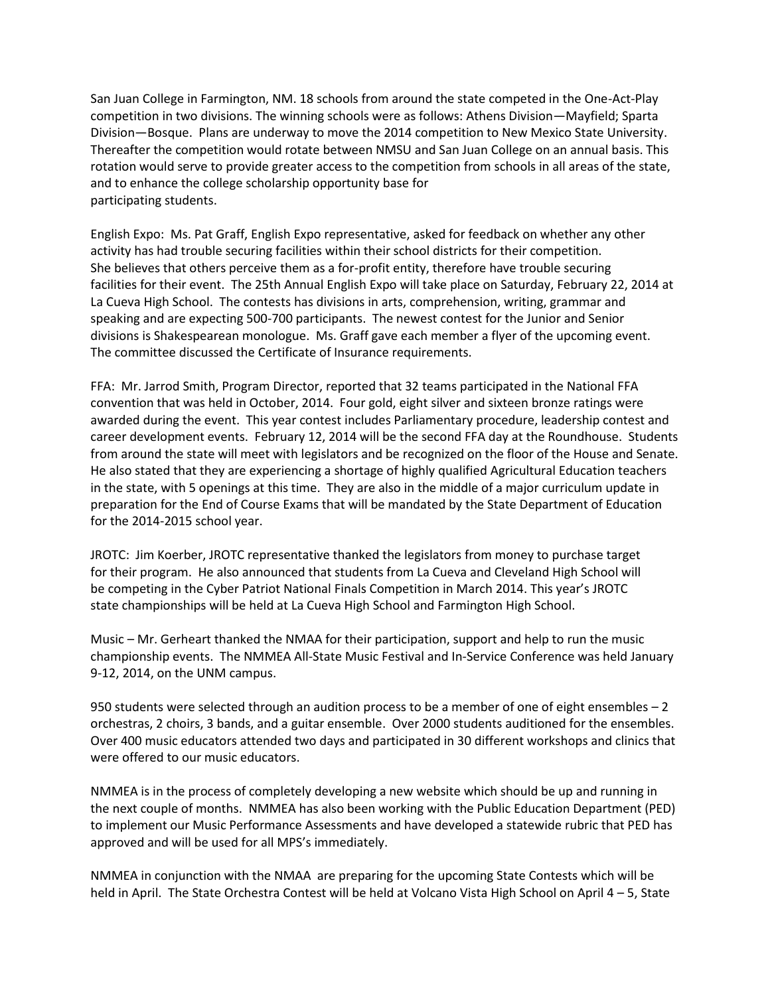San Juan College in Farmington, NM. 18 schools from around the state competed in the One-Act-Play competition in two divisions. The winning schools were as follows: Athens Division—Mayfield; Sparta Division—Bosque. Plans are underway to move the 2014 competition to New Mexico State University. Thereafter the competition would rotate between NMSU and San Juan College on an annual basis. This rotation would serve to provide greater access to the competition from schools in all areas of the state, and to enhance the college scholarship opportunity base for participating students.

English Expo: Ms. Pat Graff, English Expo representative, asked for feedback on whether any other activity has had trouble securing facilities within their school districts for their competition. She believes that others perceive them as a for-profit entity, therefore have trouble securing facilities for their event. The 25th Annual English Expo will take place on Saturday, February 22, 2014 at La Cueva High School. The contests has divisions in arts, comprehension, writing, grammar and speaking and are expecting 500-700 participants. The newest contest for the Junior and Senior divisions is Shakespearean monologue. Ms. Graff gave each member a flyer of the upcoming event. The committee discussed the Certificate of Insurance requirements.

FFA: Mr. Jarrod Smith, Program Director, reported that 32 teams participated in the National FFA convention that was held in October, 2014. Four gold, eight silver and sixteen bronze ratings were awarded during the event. This year contest includes Parliamentary procedure, leadership contest and career development events. February 12, 2014 will be the second FFA day at the Roundhouse. Students from around the state will meet with legislators and be recognized on the floor of the House and Senate. He also stated that they are experiencing a shortage of highly qualified Agricultural Education teachers in the state, with 5 openings at this time. They are also in the middle of a major curriculum update in preparation for the End of Course Exams that will be mandated by the State Department of Education for the 2014-2015 school year.

JROTC: Jim Koerber, JROTC representative thanked the legislators from money to purchase target for their program. He also announced that students from La Cueva and Cleveland High School will be competing in the Cyber Patriot National Finals Competition in March 2014. This year's JROTC state championships will be held at La Cueva High School and Farmington High School.

Music – Mr. Gerheart thanked the NMAA for their participation, support and help to run the music championship events. The NMMEA All-State Music Festival and In-Service Conference was held January 9-12, 2014, on the UNM campus.

950 students were selected through an audition process to be a member of one of eight ensembles – 2 orchestras, 2 choirs, 3 bands, and a guitar ensemble. Over 2000 students auditioned for the ensembles. Over 400 music educators attended two days and participated in 30 different workshops and clinics that were offered to our music educators.

NMMEA is in the process of completely developing a new website which should be up and running in the next couple of months. NMMEA has also been working with the Public Education Department (PED) to implement our Music Performance Assessments and have developed a statewide rubric that PED has approved and will be used for all MPS's immediately.

NMMEA in conjunction with the NMAA are preparing for the upcoming State Contests which will be held in April. The State Orchestra Contest will be held at Volcano Vista High School on April 4 – 5, State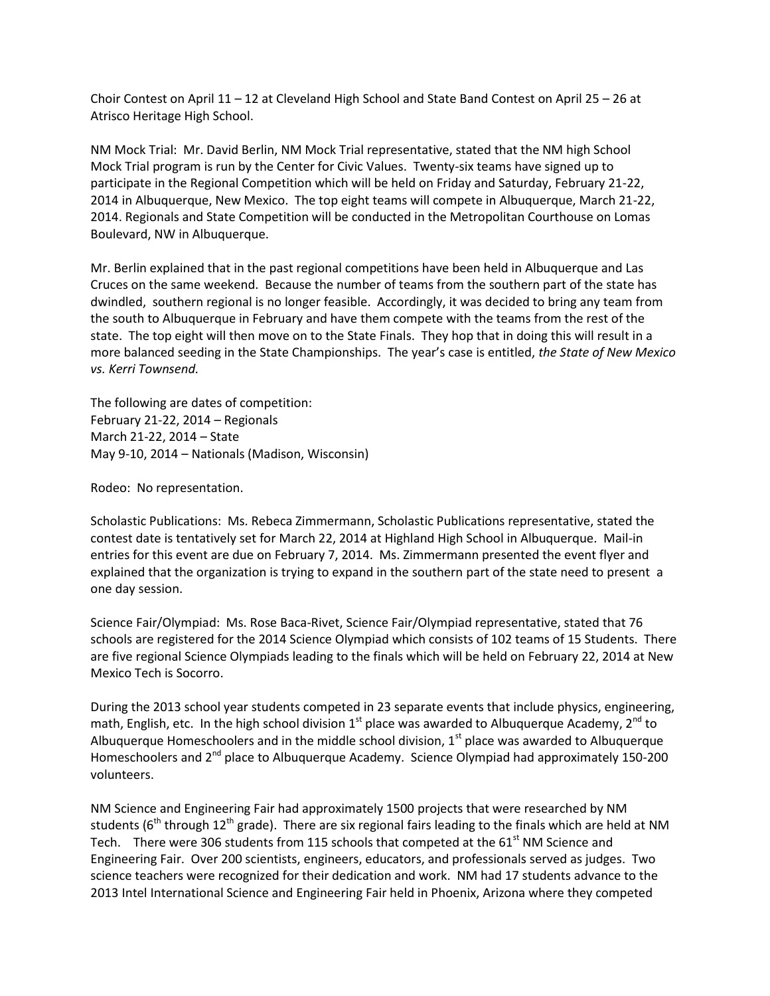Choir Contest on April 11 – 12 at Cleveland High School and State Band Contest on April 25 – 26 at Atrisco Heritage High School.

NM Mock Trial: Mr. David Berlin, NM Mock Trial representative, stated that the NM high School Mock Trial program is run by the Center for Civic Values. Twenty-six teams have signed up to participate in the Regional Competition which will be held on Friday and Saturday, February 21-22, 2014 in Albuquerque, New Mexico. The top eight teams will compete in Albuquerque, March 21-22, 2014. Regionals and State Competition will be conducted in the Metropolitan Courthouse on Lomas Boulevard, NW in Albuquerque.

Mr. Berlin explained that in the past regional competitions have been held in Albuquerque and Las Cruces on the same weekend. Because the number of teams from the southern part of the state has dwindled, southern regional is no longer feasible. Accordingly, it was decided to bring any team from the south to Albuquerque in February and have them compete with the teams from the rest of the state. The top eight will then move on to the State Finals. They hop that in doing this will result in a more balanced seeding in the State Championships. The year's case is entitled, *the State of New Mexico vs. Kerri Townsend.* 

The following are dates of competition: February 21-22, 2014 – Regionals March 21-22, 2014 – State May 9-10, 2014 – Nationals (Madison, Wisconsin)

Rodeo: No representation.

Scholastic Publications: Ms. Rebeca Zimmermann, Scholastic Publications representative, stated the contest date is tentatively set for March 22, 2014 at Highland High School in Albuquerque. Mail-in entries for this event are due on February 7, 2014. Ms. Zimmermann presented the event flyer and explained that the organization is trying to expand in the southern part of the state need to present a one day session.

Science Fair/Olympiad: Ms. Rose Baca-Rivet, Science Fair/Olympiad representative, stated that 76 schools are registered for the 2014 Science Olympiad which consists of 102 teams of 15 Students. There are five regional Science Olympiads leading to the finals which will be held on February 22, 2014 at New Mexico Tech is Socorro.

During the 2013 school year students competed in 23 separate events that include physics, engineering, math, English, etc. In the high school division  $1<sup>st</sup>$  place was awarded to Albuquerque Academy,  $2<sup>nd</sup>$  to Albuquerque Homeschoolers and in the middle school division,  $1<sup>st</sup>$  place was awarded to Albuquerque Homeschoolers and 2<sup>nd</sup> place to Albuquerque Academy. Science Olympiad had approximately 150-200 volunteers.

NM Science and Engineering Fair had approximately 1500 projects that were researched by NM students ( $6<sup>th</sup>$  through 12<sup>th</sup> grade). There are six regional fairs leading to the finals which are held at NM Tech. There were 306 students from 115 schools that competed at the 61<sup>st</sup> NM Science and Engineering Fair. Over 200 scientists, engineers, educators, and professionals served as judges. Two science teachers were recognized for their dedication and work. NM had 17 students advance to the 2013 Intel International Science and Engineering Fair held in Phoenix, Arizona where they competed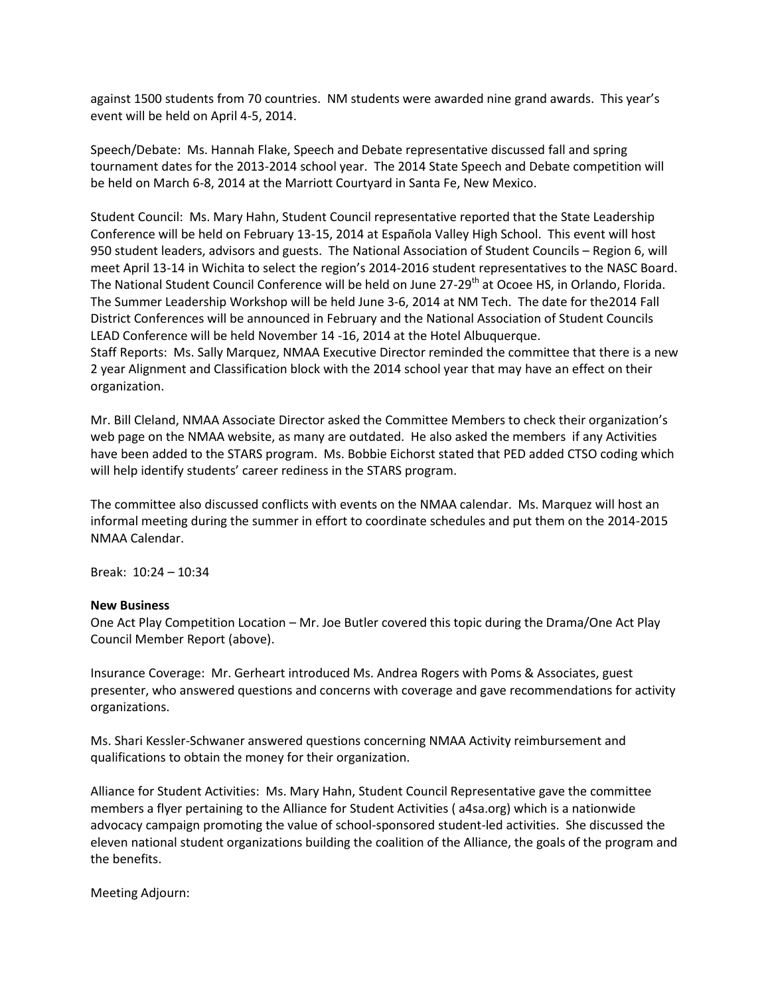against 1500 students from 70 countries. NM students were awarded nine grand awards. This year's event will be held on April 4-5, 2014.

Speech/Debate: Ms. Hannah Flake, Speech and Debate representative discussed fall and spring tournament dates for the 2013-2014 school year. The 2014 State Speech and Debate competition will be held on March 6-8, 2014 at the Marriott Courtyard in Santa Fe, New Mexico.

Student Council: Ms. Mary Hahn, Student Council representative reported that the State Leadership Conference will be held on February 13-15, 2014 at Española Valley High School. This event will host 950 student leaders, advisors and guests. The National Association of Student Councils – Region 6, will meet April 13-14 in Wichita to select the region's 2014-2016 student representatives to the NASC Board. The National Student Council Conference will be held on June 27-29<sup>th</sup> at Ocoee HS, in Orlando, Florida. The Summer Leadership Workshop will be held June 3-6, 2014 at NM Tech. The date for the2014 Fall District Conferences will be announced in February and the National Association of Student Councils LEAD Conference will be held November 14 -16, 2014 at the Hotel Albuquerque. Staff Reports: Ms. Sally Marquez, NMAA Executive Director reminded the committee that there is a new

2 year Alignment and Classification block with the 2014 school year that may have an effect on their organization.

Mr. Bill Cleland, NMAA Associate Director asked the Committee Members to check their organization's web page on the NMAA website, as many are outdated. He also asked the members if any Activities have been added to the STARS program. Ms. Bobbie Eichorst stated that PED added CTSO coding which will help identify students' career rediness in the STARS program.

The committee also discussed conflicts with events on the NMAA calendar. Ms. Marquez will host an informal meeting during the summer in effort to coordinate schedules and put them on the 2014-2015 NMAA Calendar.

Break: 10:24 – 10:34

## **New Business**

One Act Play Competition Location – Mr. Joe Butler covered this topic during the Drama/One Act Play Council Member Report (above).

Insurance Coverage: Mr. Gerheart introduced Ms. Andrea Rogers with Poms & Associates, guest presenter, who answered questions and concerns with coverage and gave recommendations for activity organizations.

Ms. Shari Kessler-Schwaner answered questions concerning NMAA Activity reimbursement and qualifications to obtain the money for their organization.

Alliance for Student Activities: Ms. Mary Hahn, Student Council Representative gave the committee members a flyer pertaining to the Alliance for Student Activities ( a4sa.org) which is a nationwide advocacy campaign promoting the value of school-sponsored student-led activities. She discussed the eleven national student organizations building the coalition of the Alliance, the goals of the program and the benefits.

Meeting Adjourn: